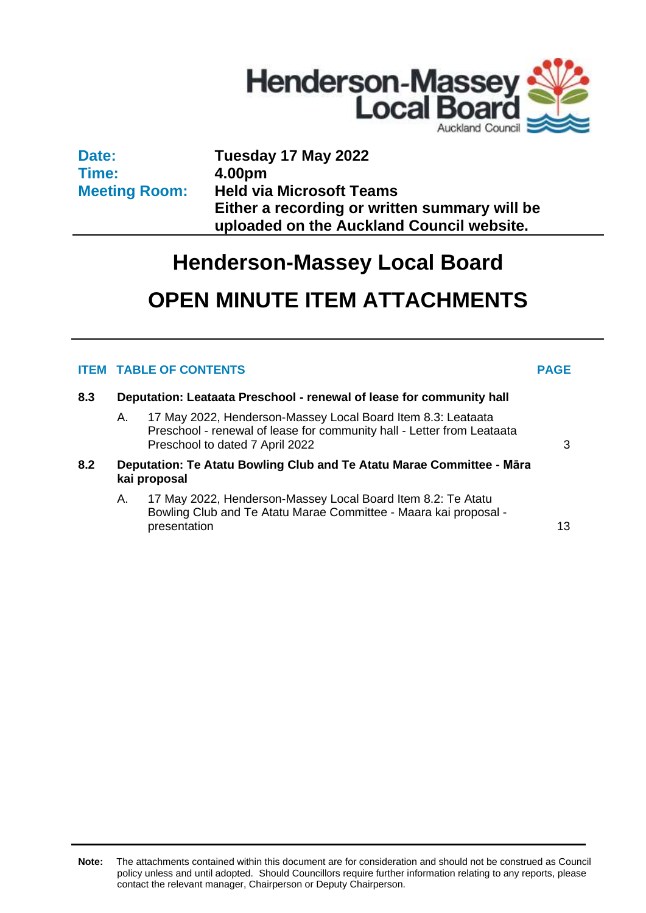

**Date: Time: Meeting Room:** **Tuesday 17 May 2022 4.00pm Held via Microsoft Teams Either a recording or written summary will be uploaded on the Auckland Council website.**

# **Henderson-Massey Local Board**

# **OPEN MINUTE ITEM ATTACHMENTS**

### **ITEM TABLE OF CONTENTS PAGE**

- **8.3 Deputation: Leataata Preschool - renewal of lease for community hall**
	- A. 17 May 2022, Henderson-Massey Local Board Item 8.3: Leataata Preschool - renewal of lease for community hall - Letter from Leataata Preschool to dated 7 April 2022 [3](#page-2-0)
- **8.2 Deputation: Te Atatu Bowling Club and Te Atatu Marae Committee - Māra kai proposal**
	- A. 17 May 2022, Henderson-Massey Local Board Item 8.2: Te Atatu Bowling Club and Te Atatu Marae Committee - Maara kai proposal presentation and the set of the set of the set of the set of the set of the set of the set of the set of the set of the set of the set of the set of the set of the set of the set of the set of the set of the set of the set

**Note:** The attachments contained within this document are for consideration and should not be construed as Council policy unless and until adopted. Should Councillors require further information relating to any reports, please contact the relevant manager, Chairperson or Deputy Chairperson.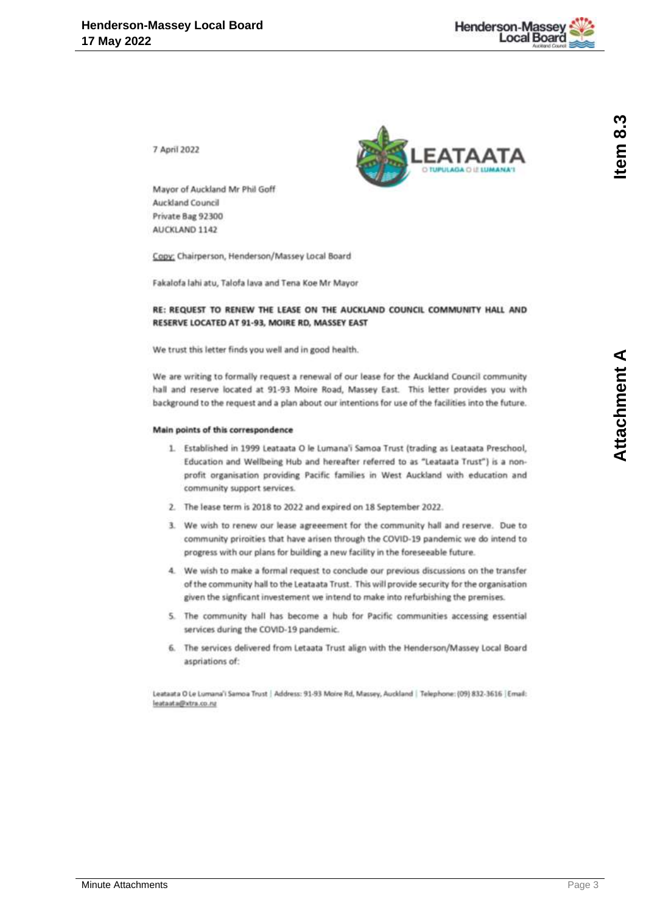

<span id="page-2-0"></span>7 April 2022



Mayor of Auckland Mr Phil Goff **Auckland Council** Private Bag 92300 AUCKLAND 1142

Copy; Chairperson, Henderson/Massey Local Board

Fakalofa lahi atu, Talofa lava and Tena Koe Mr Mayor

#### RE: REQUEST TO RENEW THE LEASE ON THE AUCKLAND COUNCIL COMMUNITY HALL AND RESERVE LOCATED AT 91-93, MOIRE RD, MASSEY EAST

We trust this letter finds you well and in good health.

We are writing to formally request a renewal of our lease for the Auckland Council community hall and reserve located at 91-93 Moire Road, Massey East. This letter provides you with background to the request and a plan about our intentions for use of the facilities into the future.

#### Main points of this correspondence

- 1. Established in 1999 Leataata O le Lumana'i Samoa Trust (trading as Leataata Preschool, Education and Wellbeing Hub and hereafter referred to as "Leataata Trust") is a nonprofit organisation providing Pacific families in West Auckland with education and community support services.
- 2. The lease term is 2018 to 2022 and expired on 18 September 2022.
- 3. We wish to renew our lease agreeement for the community hall and reserve. Due to community priroities that have arisen through the COVID-19 pandemic we do intend to progress with our plans for building a new facility in the foreseeable future.
- 4. We wish to make a formal request to conclude our previous discussions on the transfer of the community hall to the Leataata Trust. This will provide security for the organisation given the signficant investement we intend to make into refurbishing the premises.
- 5. The community hall has become a hub for Pacific communities accessing essential services during the COVID-19 pandemic.
- 6. The services delivered from Letaata Trust align with the Henderson/Massey Local Board aspriations of:

Leataata O Le Lumana'i Samoa Trust | Address: 91-93 Moire Rd, Massey, Auckland | Telephone: (09) 832-3616 | Email: leatasta@xtra.co.nz

tem 8.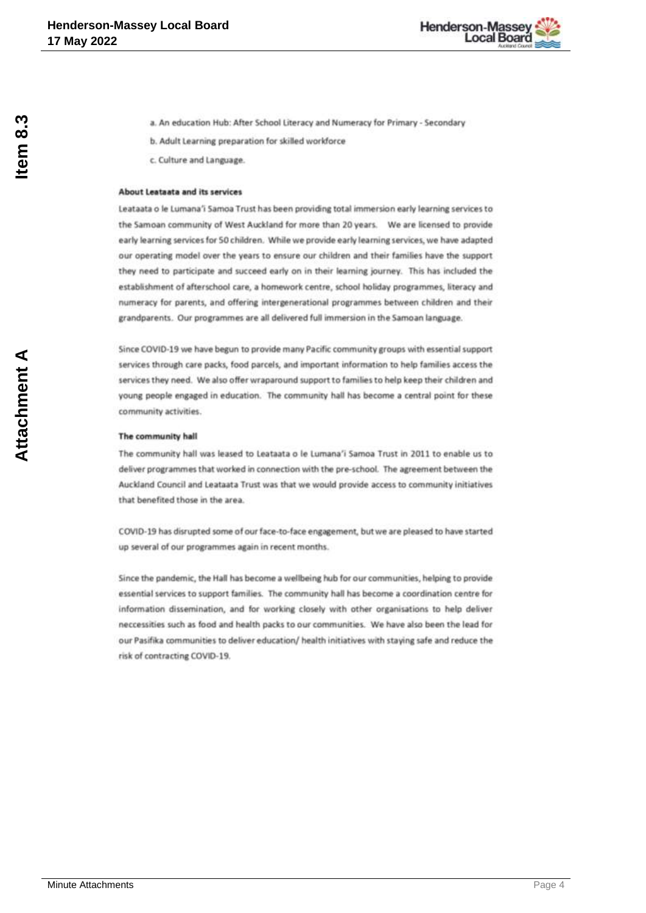

- a. An education Hub: After School Literacy and Numeracy for Primary Secondary
- b. Adult Learning preparation for skilled workforce
- c. Culture and Language.

#### About Leataata and its services

Leataata o le Lumana'i Samoa Trust has been providing total immersion early learning services to the Samoan community of West Auckland for more than 20 years. We are licensed to provide early learning services for 50 children. While we provide early learning services, we have adapted our operating model over the years to ensure our children and their families have the support they need to participate and succeed early on in their learning journey. This has included the establishment of afterschool care, a homework centre, school holiday programmes, literacy and numeracy for parents, and offering intergenerational programmes between children and their grandparents. Our programmes are all delivered full immersion in the Samoan language.

Since COVID-19 we have begun to provide many Pacific community groups with essential support services through care packs, food parcels, and important information to help families access the services they need. We also offer wraparound support to families to help keep their children and young people engaged in education. The community hall has become a central point for these community activities.

#### The community hall

The community hall was leased to Leataata o le Lumana'i Samoa Trust in 2011 to enable us to deliver programmes that worked in connection with the pre-school. The agreement between the Auckland Council and Leataata Trust was that we would provide access to community initiatives that benefited those in the area.

COVID-19 has disrupted some of our face-to-face engagement, but we are pleased to have started up several of our programmes again in recent months.

Since the pandemic, the Hall has become a wellbeing hub for our communities, helping to provide essential services to support families. The community hall has become a coordination centre for information dissemination, and for working closely with other organisations to help deliver neccessities such as food and health packs to our communities. We have also been the lead for our Pasifika communities to deliver education/ health initiatives with staying safe and reduce the risk of contracting COVID-19.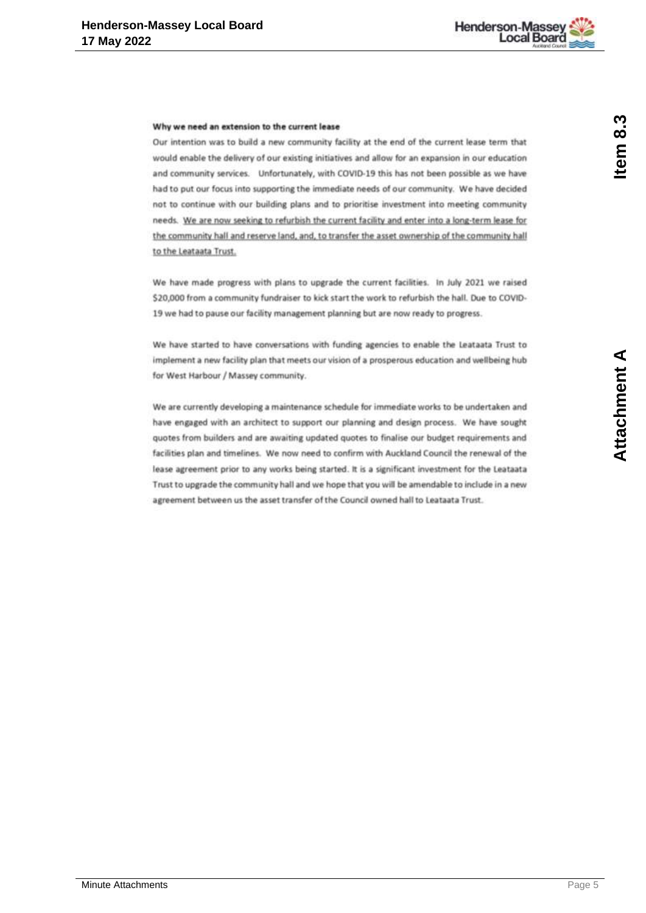

#### Why we need an extension to the current lease

Our intention was to build a new community facility at the end of the current lease term that would enable the delivery of our existing initiatives and allow for an expansion in our education and community services. Unfortunately, with COVID-19 this has not been possible as we have had to put our focus into supporting the immediate needs of our community. We have decided not to continue with our building plans and to prioritise investment into meeting community needs. We are now seeking to refurbish the current facility and enter into a long-term lease for the community hall and reserve land, and, to transfer the asset ownership of the community hall to the Leataata Trust.

We have made progress with plans to upgrade the current facilities. In July 2021 we raised \$20,000 from a community fundraiser to kick start the work to refurbish the hall. Due to COVID-19 we had to pause our facility management planning but are now ready to progress.

We have started to have conversations with funding agencies to enable the Leataata Trust to implement a new facility plan that meets our vision of a prosperous education and wellbeing hub for West Harbour / Massey community.

We are currently developing a maintenance schedule for immediate works to be undertaken and have engaged with an architect to support our planning and design process. We have sought quotes from builders and are awaiting updated quotes to finalise our budget requirements and facilities plan and timelines. We now need to confirm with Auckland Council the renewal of the lease agreement prior to any works being started. It is a significant investment for the Leataata Trust to upgrade the community hall and we hope that you will be amendable to include in a new agreement between us the asset transfer of the Council owned hall to Leataata Trust.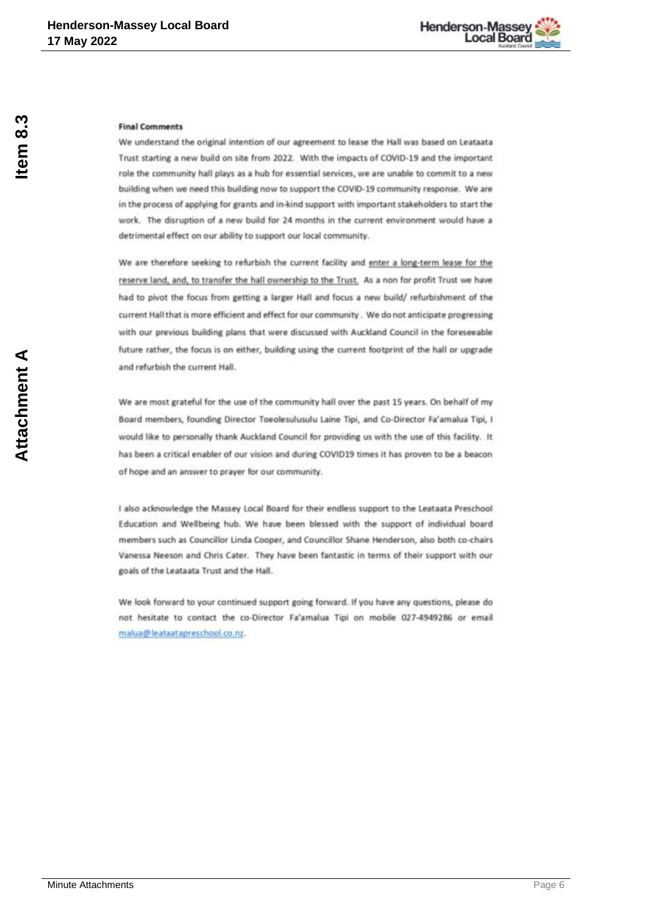

#### **Final Comments**

We understand the original intention of our agreement to lease the Hall was based on Leataata Trust starting a new build on site from 2022. With the impacts of COVID-19 and the important role the community hall plays as a hub for essential services, we are unable to commit to a new building when we need this building now to support the COVID-19 community response. We are in the process of applying for grants and in-kind support with important stakeholders to start the work. The disruption of a new build for 24 months in the current environment would have a detrimental effect on our ability to support our local community.

We are therefore seeking to refurbish the current facility and enter a long-term lease for the reserve land, and, to transfer the hall ownership to the Trust. As a non for profit Trust we have had to pivot the focus from getting a larger Hall and focus a new build/refurbishment of the current Hall that is more efficient and effect for our community. We do not anticipate progressing with our previous building plans that were discussed with Auckland Council in the foreseeable future rather, the focus is on either, building using the current footprint of the hall or upgrade and refurbish the current Hall.

We are most grateful for the use of the community hall over the past 15 years. On behalf of my Board members, founding Director Toeolesulusulu Laine Tipi, and Co-Director Fa'amalua Tipi, I would like to personally thank Auckland Council for providing us with the use of this facility. It has been a critical enabler of our vision and during COVID19 times it has proven to be a beacon of hope and an answer to prayer for our community.

I also acknowledge the Massey Local Board for their endless support to the Leataata Preschool Education and Wellbeing hub. We have been blessed with the support of individual board members such as Councillor Linda Cooper, and Councillor Shane Henderson, also both co-chairs Vanessa Neeson and Chris Cater. They have been fantastic in terms of their support with our goals of the Leataata Trust and the Hall.

We look forward to your continued support going forward. If you have any questions, please do not hesitate to contact the co-Director Fa'amalua Tipi on mobile 027-4949286 or email makia@leataatapreschool.co.nz.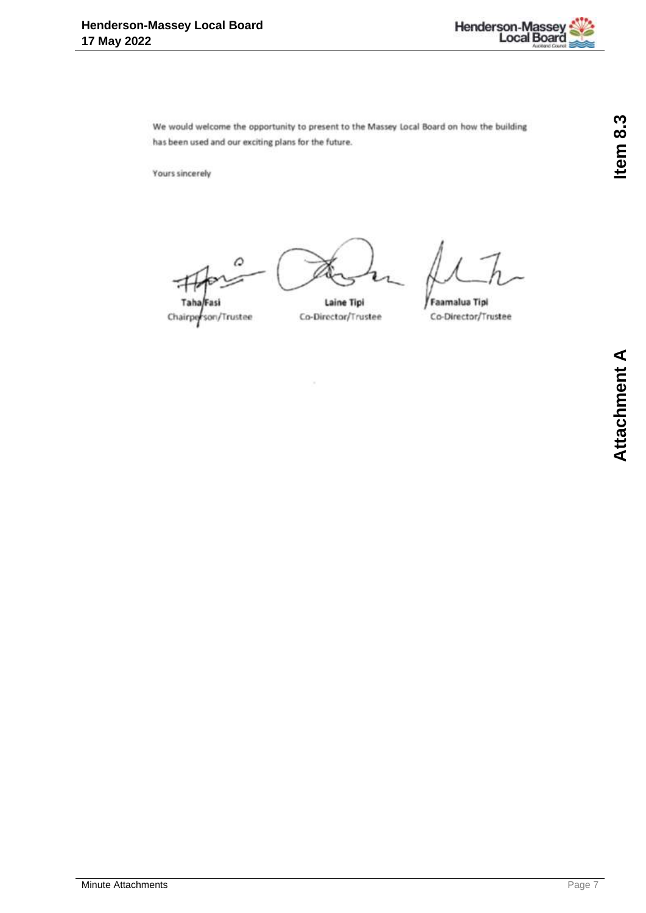

We would welcome the opportunity to present to the Massey Local Board on how the building has been used and our exciting plans for the future.

Yours sincerely

Taha Chairperson/Trustee

Laine Tipi

Co-Director/Trustee

Faamalua Tipi Co-Director/Trustee

Item 8.3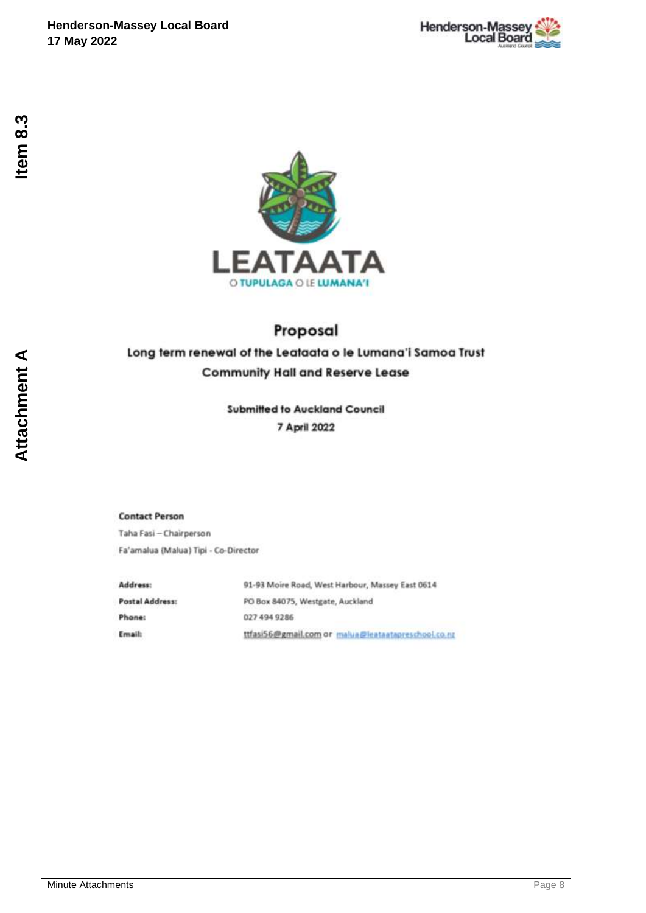



# Proposal

## Long term renewal of the Leataata o le Lumana'i Samoa Trust **Community Hall and Reserve Lease**

**Submitted to Auckland Council** 7 April 2022

**Contact Person** 

Taha Fasi - Chairperson Fa'amalua (Malua) Tipi - Co-Director

| Address:        | 91-93 Moire Road, West Harbour, Massey East 0614    |
|-----------------|-----------------------------------------------------|
| Postal Address: | PO Box 84075, Westgate, Auckland                    |
| Phone:          | 027 494 9286                                        |
| Email:          | ttfasi56@gmail.com or malua@leataatapreschool.co.nz |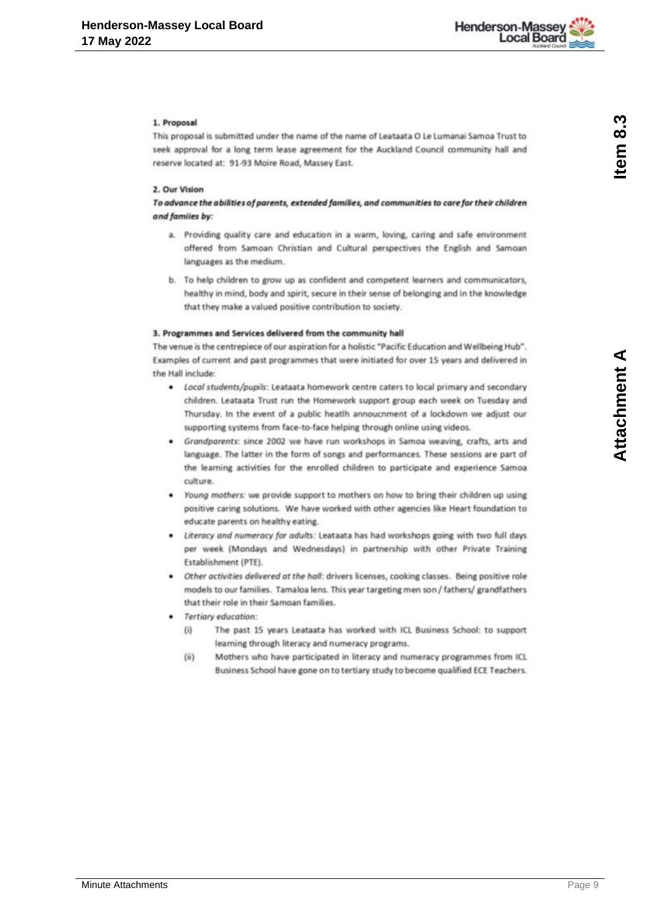

#### 1. Proposal

This proposal is submitted under the name of the name of Leataata O Le Lumanai Samoa Trust to seek approval for a long term lease agreement for the Auckland Council community hall and reserve located at: 91-93 Moire Road, Massey East.

#### 2. Our Vision

To advance the abilities of parents, extended families, and communities to care for their children and familes by:

- a. Providing quality care and education in a warm, loving, caring and safe environment offered from Samoan Christian and Cultural perspectives the English and Samoan languages as the medium.
- b. To help children to grow up as confident and competent learners and communicators, healthy in mind, body and spirit, secure in their sense of belonging and in the knowledge that they make a valued positive contribution to society.

#### 3. Programmes and Services delivered from the community hall

The venue is the centrepiece of our aspiration for a holistic "Pacific Education and Wellbeing Hub". Examples of current and past programmes that were initiated for over 15 years and delivered in the Hall include:

- · Local students/pupils: Leataata homework centre caters to local primary and secondary children. Leataata Trust run the Homework support group each week on Tuesday and Thursday. In the event of a public heatlh annoucnment of a lockdown we adjust our supporting systems from face-to-face helping through online using videos.
- Grandparents: since 2002 we have run workshops in Samoa weaving, crafts, arts and language. The latter in the form of songs and performances. These sessions are part of the learning activities for the enrolled children to participate and experience Samoa culture.
- . Young mothers: we provide support to mothers on how to bring their children up using positive caring solutions. We have worked with other agencies like Heart foundation to educate parents on healthy eating.
- Literacy and numeracy for adults: Leataata has had workshops going with two full days per week (Mondays and Wednesdays) in partnership with other Private Training Establishment (PTE).
- Other activities delivered at the hall: drivers licenses, cooking classes. Being positive role models to our families. Tamaloa lens. This year targeting men son / fathers/ grandfathers that their role in their Samoan families.
- Tertiary education:
	- $(0)$ The past 15 years Leataata has worked with ICL Business School: to support learning through literacy and numeracy programs.
	- Mothers who have participated in literacy and numeracy programmes from ICL  $(ii)$ Business School have gone on to tertiary study to become qualified ECE Teachers.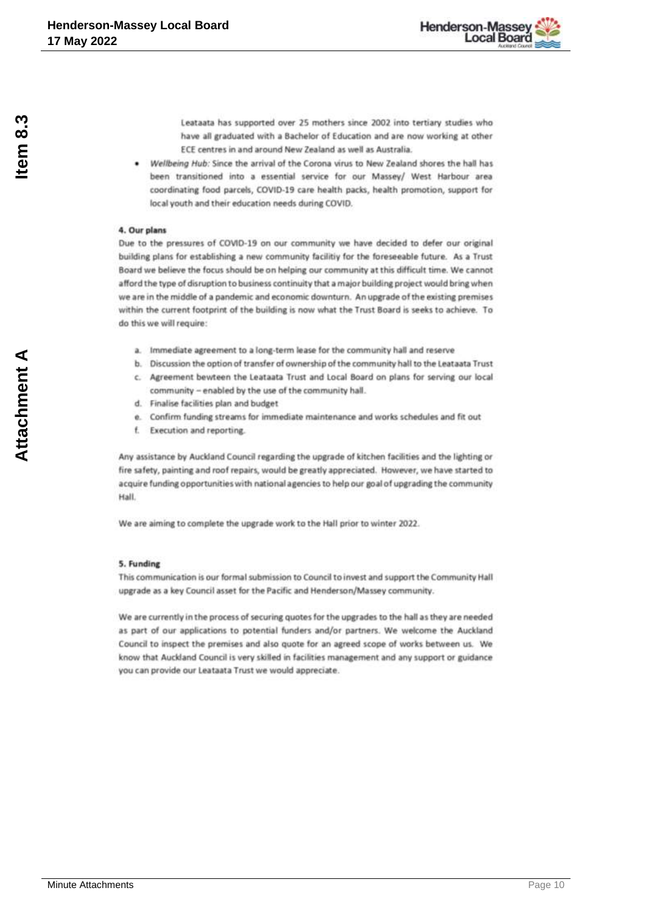

Leataata has supported over 25 mothers since 2002 into tertiary studies who have all graduated with a Bachelor of Education and are now working at other ECE centres in and around New Zealand as well as Australia.

Wellbeing Hub: Since the arrival of the Corona virus to New Zealand shores the hall has been transitioned into a essential service for our Massey/ West Harbour area coordinating food parcels, COVID-19 care health packs, health promotion, support for local youth and their education needs during COVID.

#### 4. Our plans

Due to the pressures of COVID-19 on our community we have decided to defer our original building plans for establishing a new community facilitiy for the foreseeable future. As a Trust Board we believe the focus should be on helping our community at this difficult time. We cannot afford the type of disruption to business continuity that a major building project would bring when we are in the middle of a pandemic and economic downturn. An upgrade of the existing premises within the current footprint of the building is now what the Trust Board is seeks to achieve. To do this we will require:

- a. Immediate agreement to a long-term lease for the community hall and reserve
- b. Discussion the option of transfer of ownership of the community hall to the Leataata Trust
- c. Agreement bewteen the Leataata Trust and Local Board on plans for serving our local community - enabled by the use of the community hall.
- d. Finalise facilities plan and budget.
- e. Confirm funding streams for immediate maintenance and works schedules and fit out
- Execution and reporting. £.

Any assistance by Auckland Council regarding the upgrade of kitchen facilities and the lighting or fire safety, painting and roof repairs, would be greatly appreciated. However, we have started to acquire funding opportunities with national agencies to help our goal of upgrading the community Hall

We are aiming to complete the upgrade work to the Hall prior to winter 2022.

#### 5. Funding

This communication is our formal submission to Council to invest and support the Community Hall upgrade as a key Council asset for the Pacific and Henderson/Massey community.

We are currently in the process of securing quotes for the upgrades to the hall as they are needed as part of our applications to potential funders and/or partners. We welcome the Auckland Council to inspect the premises and also quote for an agreed scope of works between us. We know that Auckland Council is very skilled in facilities management and any support or guidance you can provide our Leataata Trust we would appreciate.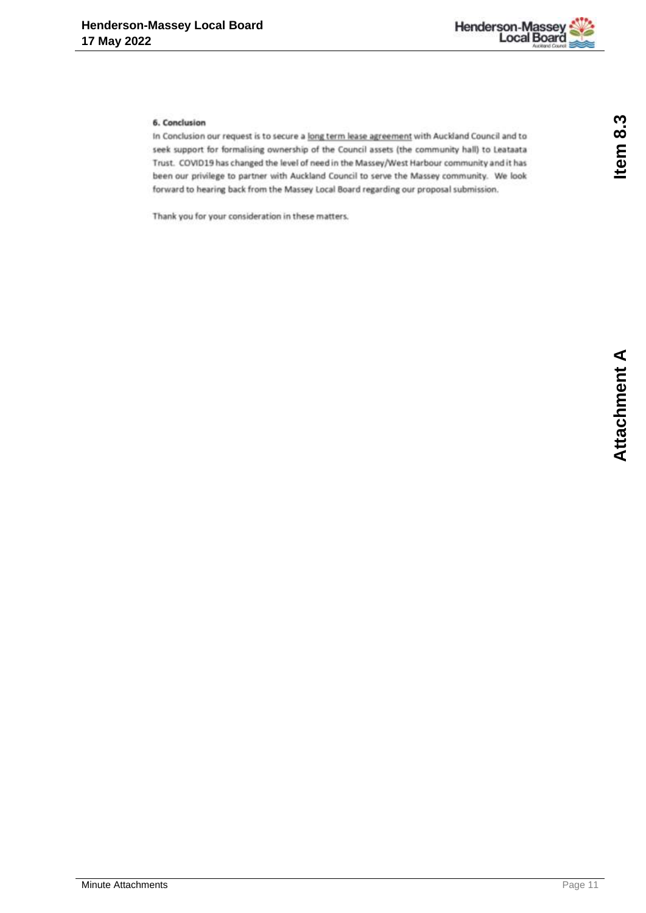

### 6. Conclusion

In Conclusion our request is to secure a long term lease agreement with Auckland Council and to seek support for formalising ownership of the Council assets (the community hall) to Leataata Trust. COVID19 has changed the level of need in the Massey/West Harbour community and it has been our privilege to partner with Auckland Council to serve the Massey community. We look forward to hearing back from the Massey Local Board regarding our proposal submission.

Thank you for your consideration in these matters.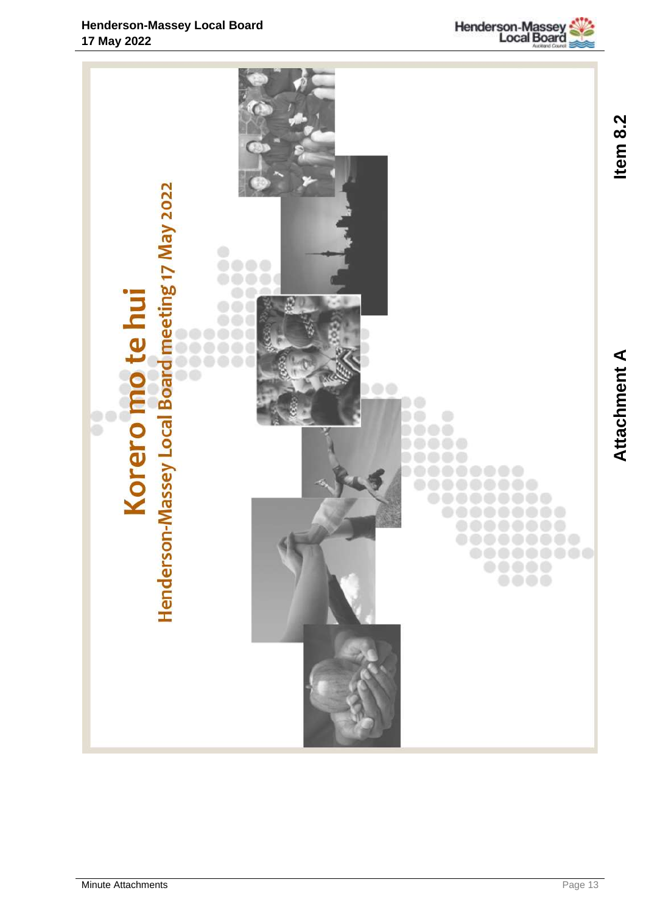

<span id="page-12-0"></span>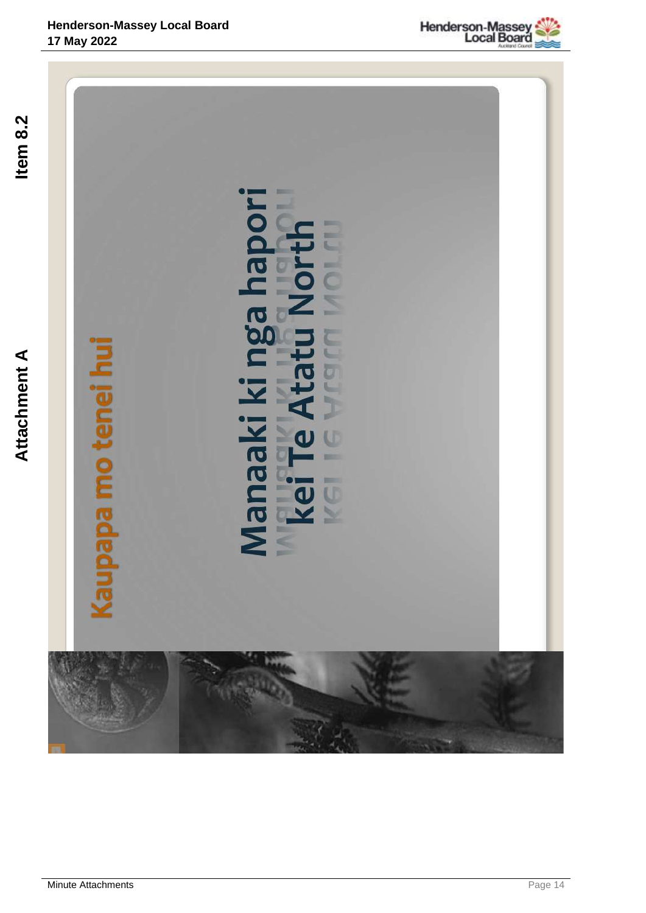

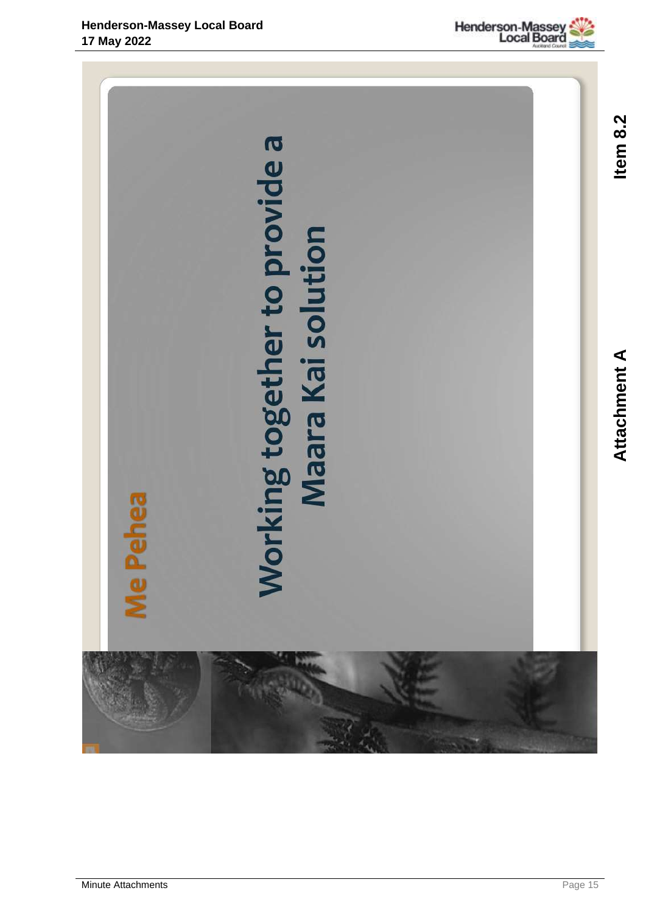

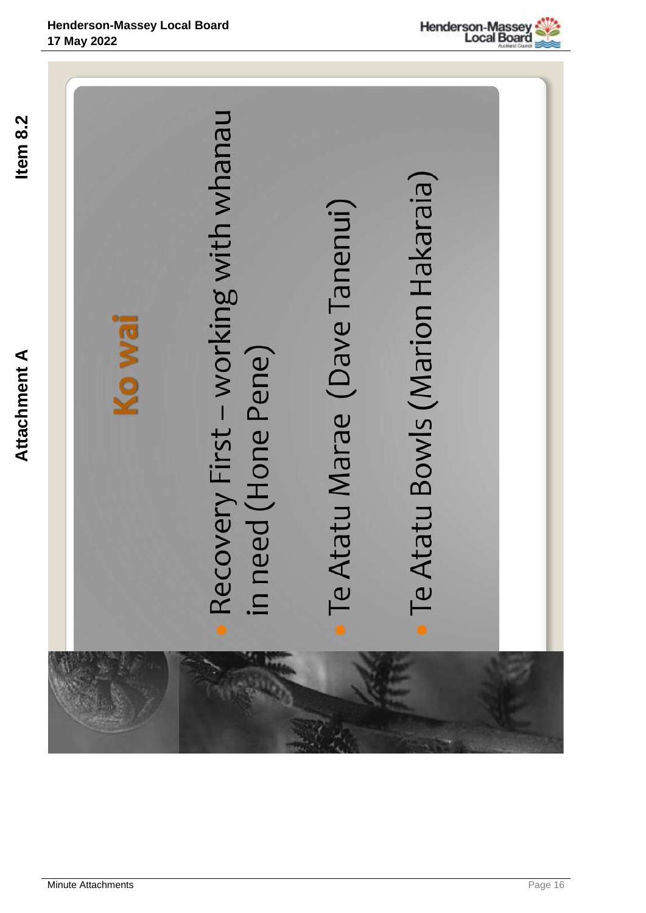



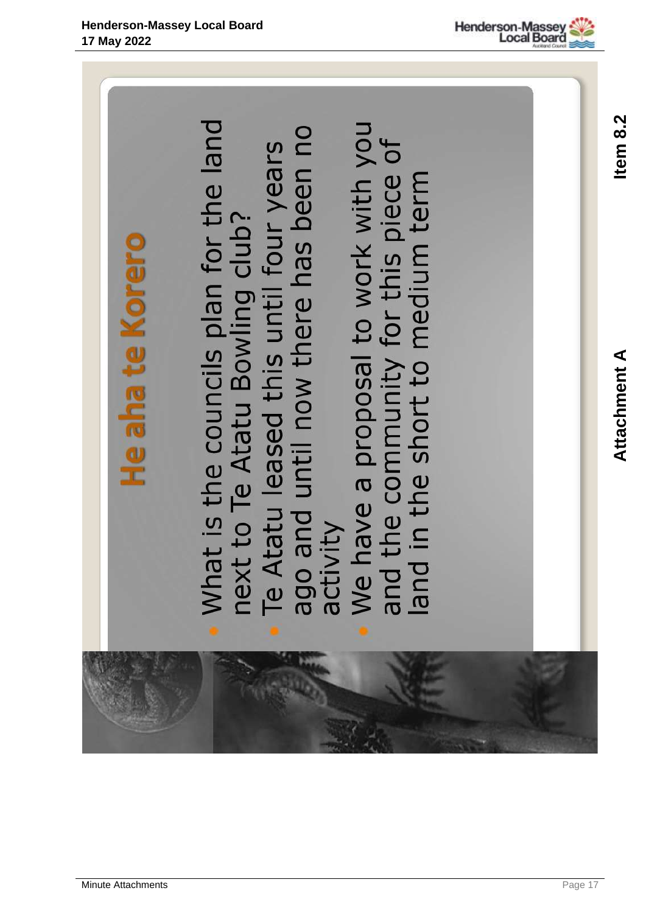Item 8.2



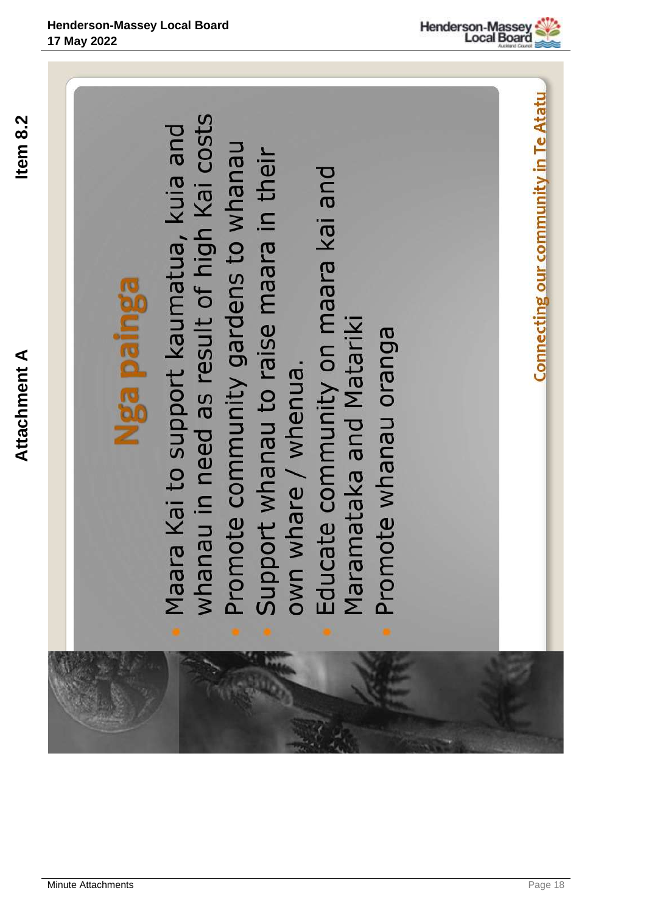Item 8.2







- Maara Kai to support kaumatua, kuia and<br>whanau in need as result of high Kai costs
	- Promote community gardens to whanau Support whanau to raise maara in their
- Educate community on maara kai and Maramataka and Matariki
	- Promote whanau oranga

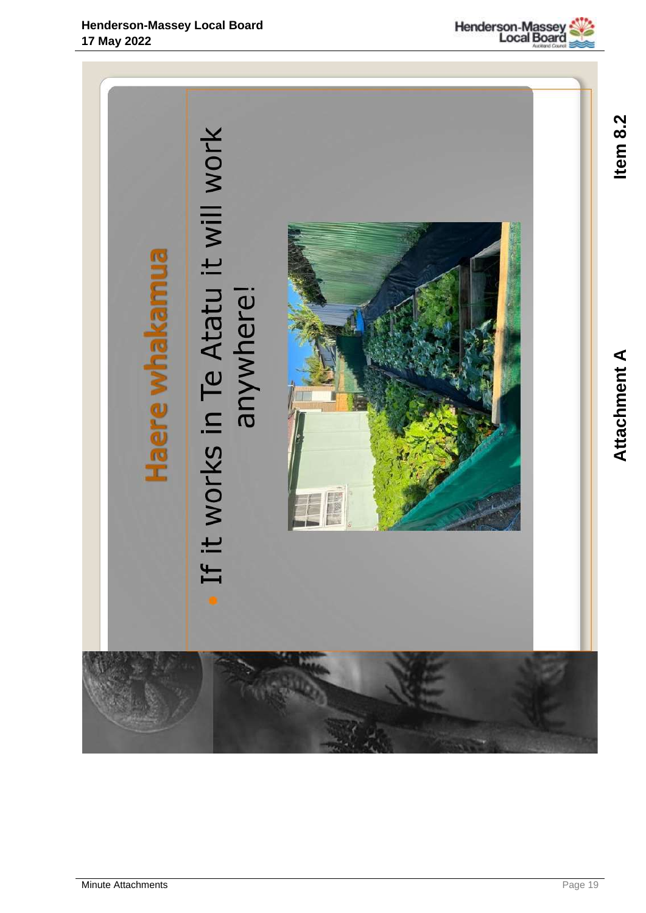